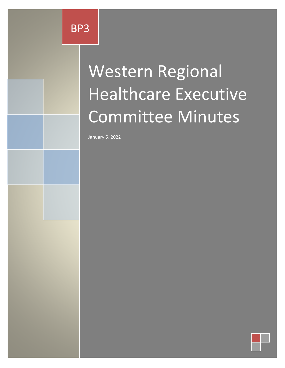# Western Regional Healthcare Executive Committee Minutes

January 5, 2022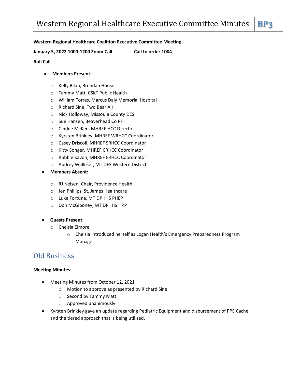### **Western Regional Healthcare Coalition Executive Committee Meeting**

**January 5, 2022 1000-1200 Zoom Call Call to order 1004**

### **Roll Call**

### **Members Present:**

- o Kelly Bilau, Brendan House
- o Tammy Matt, CSKT Public Health
- o William Torres, Marcus Daly Memorial Hospital
- o Richard Sine, Two Bear Air
- o Nick Holloway, Missoula County DES
- o Sue Hansen, Beaverhead Co PH
- o Cindee McKee, MHREF HCC Director
- o Kyrsten Brinkley, MHREF WRHCC Coordinator
- o Casey Driscoll, MHREF SRHCC Coordinator
- o Kitty Songer, MHREF CRHCC Coordinator
- o Robbie Kavon, MHREF ERHCC Coordinator
- o Audrey Walleser, MT DES Western District
- **Members Absent:**
	- o RJ Nelsen, Chair, Providence Health
	- o Jen Phillips, St. James Healthcare
	- o Luke Fortune, MT DPHHS PHEP
	- o Don McGiboney, MT DPHHS HPP
- **Guests Present:**
	- o Chelsia Elmore
		- o Chelsia introduced herself as Logan Health's Emergency Preparedness Program Manager

### Old Business

### **Meeting Minutes:**

- Meeting Minutes from October 12, 2021
	- o Motion to approve as presented by Richard Sine
	- o Second by Tammy Matt
	- o Approved unanimously
- Kyrsten Brinkley gave an update regarding Pediatric Equipment and disbursement of PPE Cache and the tiered approach that is being utilized.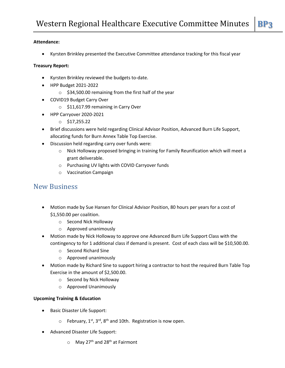### **Attendance:**

Kyrsten Brinkley presented the Executive Committee attendance tracking for this fiscal year

### **Treasury Report:**

- Kyrsten Brinkley reviewed the budgets to-date.
- HPP Budget 2021-2022
	- o \$34,500.00 remaining from the first half of the year
- COVID19 Budget Carry Over
	- o \$11,617.99 remaining in Carry Over
- HPP Carryover 2020-2021
	- $\circ$  \$17,255.22
- Brief discussions were held regarding Clinical Advisor Position, Advanced Burn Life Support, allocating funds for Burn Annex Table Top Exercise.
- Discussion held regarding carry over funds were:
	- o Nick Holloway proposed bringing in training for Family Reunification which will meet a grant deliverable.
	- o Purchasing UV lights with COVID Carryover funds
	- o Vaccination Campaign

## New Business

- Motion made by Sue Hansen for Clinical Advisor Position, 80 hours per years for a cost of \$1,550.00 per coalition.
	- o Second Nick Holloway
	- o Approved unanimously
- Motion made by Nick Holloway to approve one Advanced Burn Life Support Class with the contingency to for 1 additional class if demand is present. Cost of each class will be \$10,500.00.
	- o Second Richard Sine
	- o Approved unanimously
- Motion made by Richard Sine to support hiring a contractor to host the required Burn Table Top Exercise in the amount of \$2,500.00.
	- o Second by Nick Holloway
	- o Approved Unanimously

### **Upcoming Training & Education**

- Basic Disaster Life Support:
	- $\circ$  February, 1<sup>st</sup>, 3<sup>rd</sup>, 8<sup>th</sup> and 10th. Registration is now open.
- Advanced Disaster Life Support:
	- $\circ$  May 27<sup>th</sup> and 28<sup>th</sup> at Fairmont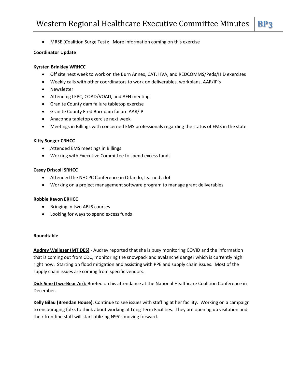MRSE (Coalition Surge Test): More information coming on this exercise

### **Coordinator Update**

### **Kyrsten Brinkley WRHCC**

- Off site next week to work on the Burn Annex, CAT, HVA, and REDCOMMS/Peds/HID exercises
- Weekly calls with other coordinators to work on deliverables, workplans, AAR/IP's
- Newsletter
- Attending LEPC, COAD/VOAD, and AFN meetings
- Granite County dam failure tabletop exercise
- Granite County Fred Burr dam failure AAR/IP
- Anaconda tabletop exercise next week
- Meetings in Billings with concerned EMS professionals regarding the status of EMS in the state

### **Kitty Songer CRHCC**

- Attended EMS meetings in Billings
- Working with Executive Committee to spend excess funds

### **Casey Driscoll SRHCC**

- Attended the NHCPC Conference in Orlando, learned a lot
- Working on a project management software program to manage grant deliverables

### **Robbie Kavon ERHCC**

- Bringing in two ABLS courses
- Looking for ways to spend excess funds

#### **Roundtable**

**Audrey Walleser (MT DES)** - Audrey reported that she is busy monitoring COVID and the information that is coming out from CDC, monitoring the snowpack and avalanche danger which is currently high right now. Starting on flood mitigation and assisting with PPE and supply chain issues. Most of the supply chain issues are coming from specific vendors.

**Dick Sine (Two-Bear Air):** Briefed on his attendance at the National Healthcare Coalition Conference in December.

**Kelly Bilau (Brendan House)**: Continue to see issues with staffing at her facility. Working on a campaign to encouraging folks to think about working at Long Term Facilities. They are opening up visitation and their frontline staff will start utilizing N95's moving forward.